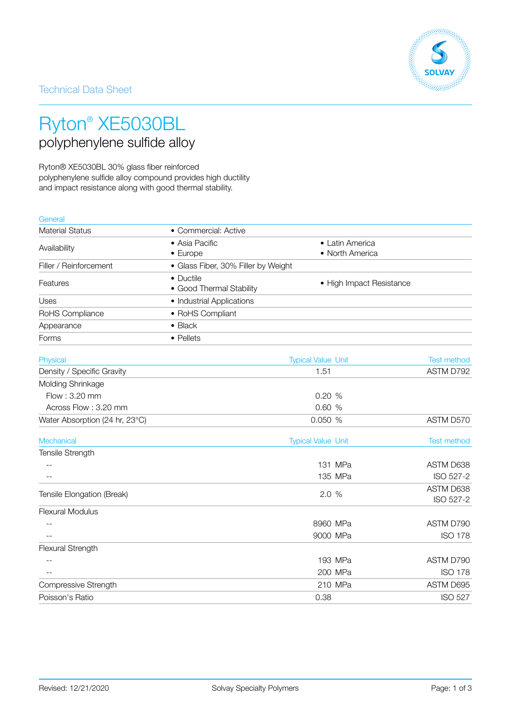

## Ryton® XE5030BL

## polyphenylene sulfide alloy

Ryton® XE5030BL 30% glass fiber reinforced polyphenylene sulfide alloy compound provides high ductility and impact resistance along with good thermal stability.

| General                        |                                     |                           |                        |  |
|--------------------------------|-------------------------------------|---------------------------|------------------------|--|
| <b>Material Status</b>         | • Commercial: Active                |                           |                        |  |
| Availability                   | • Asia Pacific                      | • Latin America           |                        |  |
|                                | $\bullet$ Europe                    | • North America           |                        |  |
| Filler / Reinforcement         | • Glass Fiber, 30% Filler by Weight |                           |                        |  |
| Features                       | • Ductile                           | • High Impact Resistance  |                        |  |
|                                | • Good Thermal Stability            |                           |                        |  |
| Uses                           | • Industrial Applications           |                           |                        |  |
| RoHS Compliance                | • RoHS Compliant                    |                           |                        |  |
| Appearance                     | $\bullet$ Black                     |                           |                        |  |
| Forms                          | • Pellets                           |                           |                        |  |
| Physical                       |                                     | <b>Typical Value Unit</b> | <b>Test method</b>     |  |
| Density / Specific Gravity     |                                     | 1.51                      | ASTM D792              |  |
| Molding Shrinkage              |                                     |                           |                        |  |
| Flow: 3.20 mm                  |                                     | 0.20%                     |                        |  |
| Across Flow: 3.20 mm           |                                     | 0.60 %                    |                        |  |
| Water Absorption (24 hr, 23°C) |                                     | 0.050 %                   | ASTM D570              |  |
| Mechanical                     |                                     | <b>Typical Value Unit</b> | <b>Test method</b>     |  |
| Tensile Strength               |                                     |                           |                        |  |
|                                |                                     | 131 MPa                   | ASTM D638              |  |
|                                |                                     | 135 MPa                   | ISO 527-2              |  |
| Tensile Elongation (Break)     |                                     | 2.0 %                     | ASTM D638<br>ISO 527-2 |  |
| <b>Flexural Modulus</b>        |                                     |                           |                        |  |
|                                |                                     | 8960 MPa                  | ASTM D790              |  |
|                                |                                     | 9000 MPa                  | <b>ISO 178</b>         |  |
| <b>Flexural Strength</b>       |                                     |                           |                        |  |
|                                |                                     | 193 MPa                   | ASTM D790              |  |
|                                |                                     | 200 MPa                   | <b>ISO 178</b>         |  |
| Compressive Strength           |                                     | 210 MPa                   | ASTM D695              |  |
| Poisson's Ratio                |                                     | 0.38                      | <b>ISO 527</b>         |  |
|                                |                                     |                           |                        |  |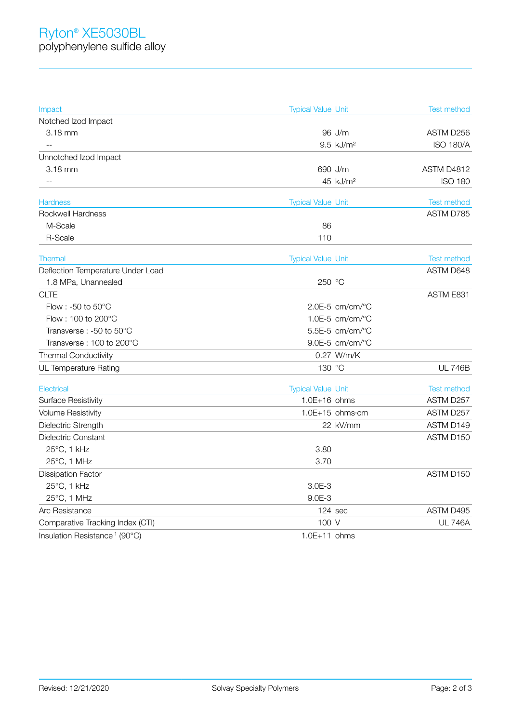| Impact                                    | <b>Typical Value Unit</b>    | Test method      |
|-------------------------------------------|------------------------------|------------------|
| Notched Izod Impact                       |                              |                  |
| 3.18 mm                                   | 96 J/m                       | ASTM D256        |
|                                           | 9.5 kJ/m <sup>2</sup>        | <b>ISO 180/A</b> |
| Unnotched Izod Impact                     |                              |                  |
| $3.18$ mm                                 | 690 J/m                      | ASTM D4812       |
|                                           | 45 kJ/m <sup>2</sup>         | <b>ISO 180</b>   |
| <b>Hardness</b>                           | <b>Typical Value Unit</b>    | Test method      |
| Rockwell Hardness                         |                              | ASTM D785        |
| M-Scale                                   | 86                           |                  |
| R-Scale                                   | 110                          |                  |
| <b>Thermal</b>                            | <b>Typical Value Unit</b>    | Test method      |
| Deflection Temperature Under Load         |                              | ASTM D648        |
| 1.8 MPa, Unannealed                       | 250 °C                       |                  |
| <b>CLTE</b>                               |                              | ASTM E831        |
| Flow : -50 to $50^{\circ}$ C              | $2.0E-5$ cm/cm/ $\degree$ C  |                  |
| Flow: 100 to 200°C                        | $1.0E-5$ cm/cm/ $^{\circ}$ C |                  |
| Transverse: -50 to 50°C                   | $5.5E-5$ cm/cm/ $^{\circ}$ C |                  |
| Transverse: 100 to 200°C                  | 9.0E-5 cm/cm/°C              |                  |
| <b>Thermal Conductivity</b>               | 0.27 W/m/K                   |                  |
| UL Temperature Rating                     | 130 °C                       | <b>UL 746B</b>   |
| Electrical                                | <b>Typical Value Unit</b>    | Test method      |
| <b>Surface Resistivity</b>                | 1.0E+16 ohms                 | ASTM D257        |
| <b>Volume Resistivity</b>                 | $1.0E+15$ ohms $cm$          | ASTM D257        |
| Dielectric Strength                       | 22 kV/mm                     | ASTM D149        |
| Dielectric Constant                       |                              | ASTM D150        |
| 25°C, 1 kHz                               | 3.80                         |                  |
| 25°C, 1 MHz                               | 3.70                         |                  |
| <b>Dissipation Factor</b>                 |                              | ASTM D150        |
| 25°C, 1 kHz                               | $3.0E-3$                     |                  |
| 25°C, 1 MHz                               | $9.0E-3$                     |                  |
| Arc Resistance                            | $124 \text{ sec}$            | ASTM D495        |
| Comparative Tracking Index (CTI)          | 100 V                        | <b>UL 746A</b>   |
| Insulation Resistance <sup>1</sup> (90°C) | $1.0E+11$ ohms               |                  |